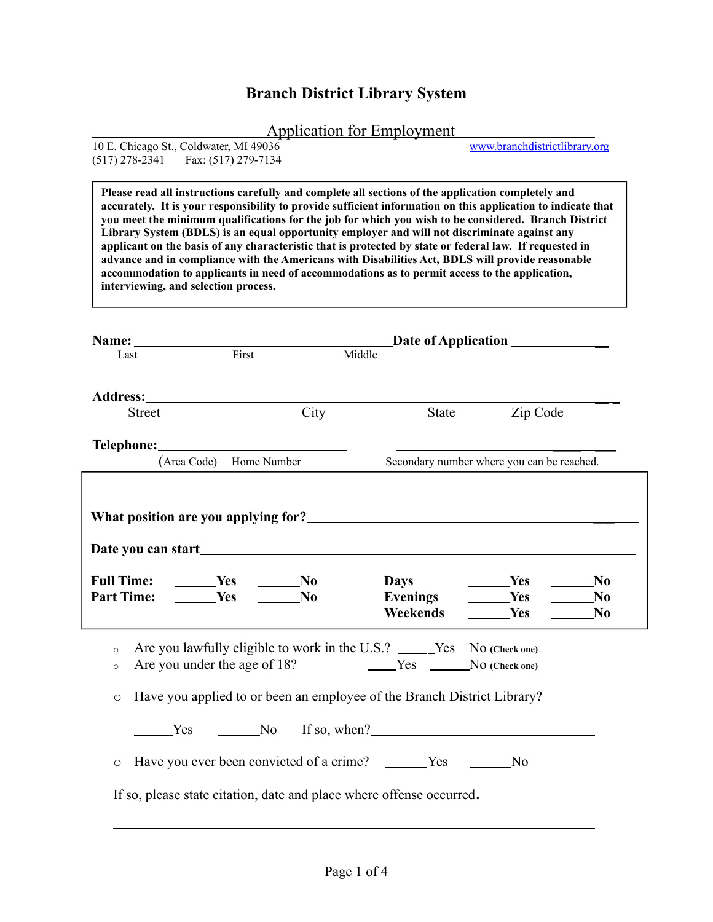## **Branch District Library System**

|  | Application for Employment |  |  |
|--|----------------------------|--|--|
|  |                            |  |  |

| 10 E. Chicago St., Coldwater, MI 49036 |  | www.branchdistrictlibrary.org |
|----------------------------------------|--|-------------------------------|
| $(517)$ 278-2341 Fax: $(517)$ 279-7134 |  |                               |

**Please read all instructions carefully and complete all sections of the application completely and accurately. It is your responsibility to provide sufficient information on this application to indicate that you meet the minimum qualifications for the job for which you wish to be considered. Branch District Library System (BDLS) is an equal opportunity employer and will not discriminate against any applicant on the basis of any characteristic that is protected by state or federal law. If requested in advance and in compliance with the Americans with Disabilities Act, BDLS will provide reasonable accommodation to applicants in need of accommodations as to permit access to the application, interviewing, and selection process.**

|                    |                              | Name: Name:                   |                |                                                                         | Date of Application                                      |                                                    |
|--------------------|------------------------------|-------------------------------|----------------|-------------------------------------------------------------------------|----------------------------------------------------------|----------------------------------------------------|
| Last               |                              | First                         | Middle         |                                                                         |                                                          |                                                    |
|                    | <b>Street</b>                |                               | City           | State                                                                   | Zip Code                                                 |                                                    |
|                    |                              |                               |                |                                                                         |                                                          |                                                    |
|                    |                              | (Area Code) Home Number       |                |                                                                         | Secondary number where you can be reached.               |                                                    |
| <b>Part Time:</b>  | <b>Solution Yes</b>          | Full Time: ______Yes ______No | N <sub>0</sub> | <b>Days</b><br><b>Evenings</b><br><b>Weekends</b>                       | <b>Solution Yes</b><br><b>Ses</b><br><b>Solution Yes</b> | N <sub>0</sub><br>N <sub>0</sub><br>N <sub>0</sub> |
| $\circ$<br>$\circ$ | Are you under the age of 18? |                               |                | Are you lawfully eligible to work in the U.S.? _____Yes No (Check one)  |                                                          |                                                    |
| $\circ$            |                              |                               |                | Have you applied to or been an employee of the Branch District Library? |                                                          |                                                    |
|                    |                              |                               |                |                                                                         |                                                          |                                                    |
| $\circ$            |                              |                               |                |                                                                         | N <sub>0</sub>                                           |                                                    |
|                    |                              |                               |                | If so, please state citation, date and place where offense occurred.    |                                                          |                                                    |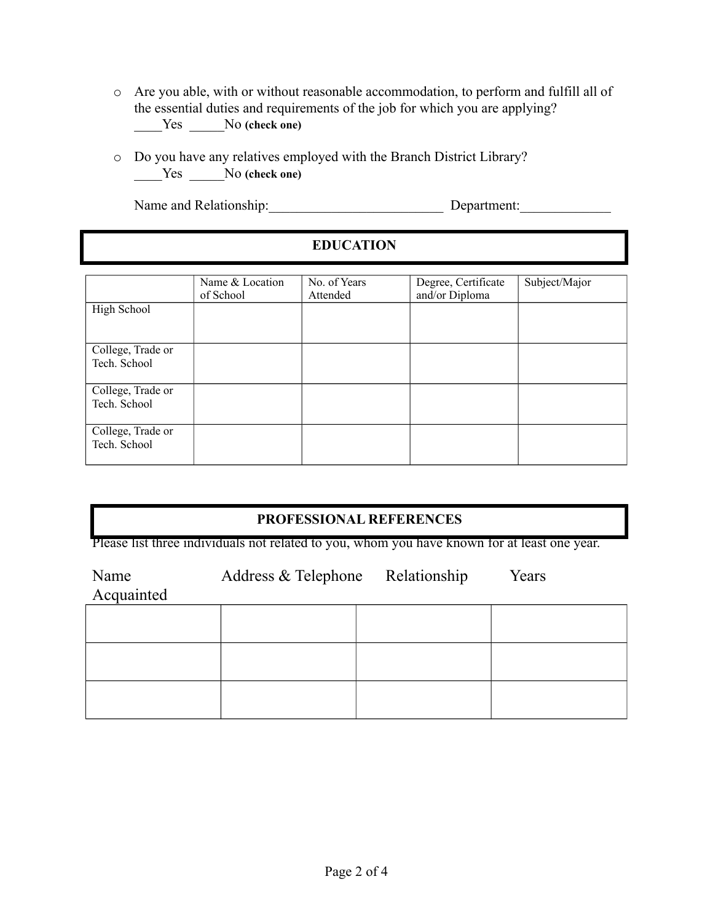- o Are you able, with or without reasonable accommodation, to perform and fulfill all of the essential duties and requirements of the job for which you are applying? \_\_\_\_Yes \_\_\_\_\_No **(check one)**
- o Do you have any relatives employed with the Branch District Library? \_\_\_\_Yes \_\_\_\_\_No **(check one)**

Name and Relationship: Department:

| <b>EDUCATION</b> |
|------------------|
|------------------|

|                                   | Name & Location<br>of School | No. of Years<br>Attended | Degree, Certificate<br>and/or Diploma | Subject/Major |
|-----------------------------------|------------------------------|--------------------------|---------------------------------------|---------------|
| High School                       |                              |                          |                                       |               |
| College, Trade or<br>Tech. School |                              |                          |                                       |               |
| College, Trade or<br>Tech. School |                              |                          |                                       |               |
| College, Trade or<br>Tech. School |                              |                          |                                       |               |

# **PROFESSIONAL REFERENCES**

Please list three individuals not related to you, whom you have known for at least one year.

| Name<br>Acquainted | Address & Telephone Relationship | Years |
|--------------------|----------------------------------|-------|
|                    |                                  |       |
|                    |                                  |       |
|                    |                                  |       |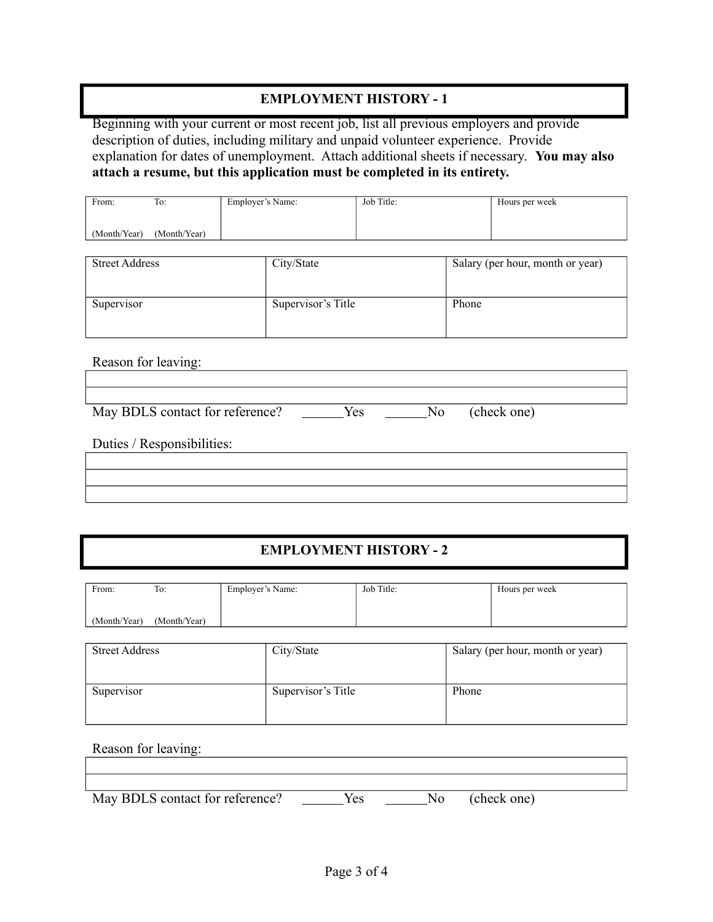### **EMPLOYMENT HISTORY - 1**

Beginning with your current or most recent job, list all previous employers and provide description of duties, including military and unpaid volunteer experience. Provide explanation for dates of unemployment. Attach additional sheets if necessary. **You may also attach a resume, but this application must be completed in its entirety.**

| From:        | To:          | Employer's Name: | Job Title: | Hours per week |
|--------------|--------------|------------------|------------|----------------|
|              |              |                  |            |                |
| (Month/Year) | (Month/Year) |                  |            |                |

| <b>Street Address</b> | City/State         | Salary (per hour, month or year) |
|-----------------------|--------------------|----------------------------------|
| Supervisor            | Supervisor's Title | Phone                            |

Reason for leaving:

| May BDLS contact for reference? | Yes | No. | (check one) |
|---------------------------------|-----|-----|-------------|

Duties / Responsibilities:

| <u> 1989 - Andrea Santa Andrea Andrea Andrea Andrea Andrea Andrea Andrea Andrea Andrea Andrea Andrea Andrea Andr</u> |  |
|----------------------------------------------------------------------------------------------------------------------|--|
|                                                                                                                      |  |

#### **EMPLOYMENT HISTORY - 2**

| From:        | To:          | Employer's Name: | Job Title: | Hours per week |
|--------------|--------------|------------------|------------|----------------|
|              |              |                  |            |                |
| (Month/Year) | (Month/Year) |                  |            |                |

| <b>Street Address</b> | City/State         | Salary (per hour, month or year) |
|-----------------------|--------------------|----------------------------------|
| Supervisor            | Supervisor's Title | Phone                            |

Reason for leaving:

| May BDLS contact for reference? | Yes | N <sub>0</sub> | (check one) |  |
|---------------------------------|-----|----------------|-------------|--|